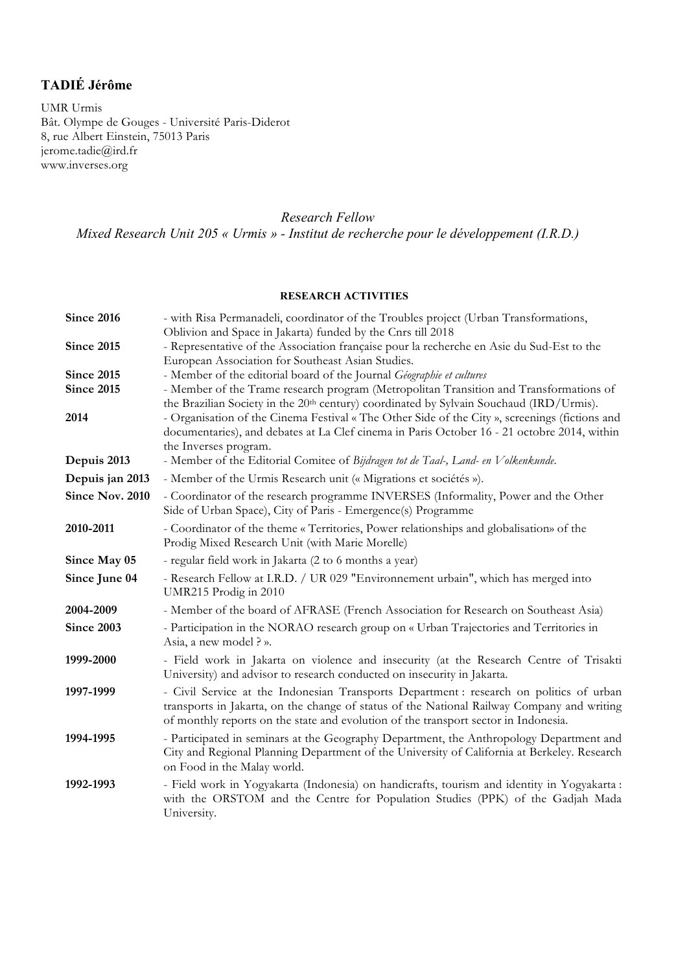# **TADIÉ Jérôme**

UMR Urmis Bât. Olympe de Gouges - Université Paris-Diderot 8, rue Albert Einstein, 75013 Paris jerome.tadie@ird.fr www.inverses.org

# *Research Fellow*

*Mixed Research Unit 205 « Urmis » - Institut de recherche pour le développement (I.R.D.)*

## **RESEARCH ACTIVITIES**

| <b>Since 2016</b> | - with Risa Permanadeli, coordinator of the Troubles project (Urban Transformations,                                                                                                                                                                                        |
|-------------------|-----------------------------------------------------------------------------------------------------------------------------------------------------------------------------------------------------------------------------------------------------------------------------|
|                   | Oblivion and Space in Jakarta) funded by the Cnrs till 2018                                                                                                                                                                                                                 |
| <b>Since 2015</b> | - Representative of the Association française pour la recherche en Asie du Sud-Est to the                                                                                                                                                                                   |
|                   | European Association for Southeast Asian Studies.                                                                                                                                                                                                                           |
| <b>Since 2015</b> | - Member of the editorial board of the Journal Géographie et cultures                                                                                                                                                                                                       |
| <b>Since 2015</b> | - Member of the Trame research program (Metropolitan Transition and Transformations of<br>the Brazilian Society in the 20 <sup>th</sup> century) coordinated by Sylvain Souchaud (IRD/Urmis).                                                                               |
| 2014              | - Organisation of the Cinema Festival « The Other Side of the City », screenings (fictions and                                                                                                                                                                              |
|                   | documentaries), and debates at La Clef cinema in Paris October 16 - 21 octobre 2014, within                                                                                                                                                                                 |
|                   | the Inverses program.                                                                                                                                                                                                                                                       |
| Depuis 2013       | - Member of the Editorial Comitee of Bijdragen tot de Taal-, Land- en Volkenkunde.                                                                                                                                                                                          |
| Depuis jan 2013   | - Member of the Urmis Research unit (« Migrations et sociétés »).                                                                                                                                                                                                           |
| Since Nov. 2010   | - Coordinator of the research programme INVERSES (Informality, Power and the Other<br>Side of Urban Space), City of Paris - Emergence(s) Programme                                                                                                                          |
| 2010-2011         | - Coordinator of the theme « Territories, Power relationships and globalisation» of the<br>Prodig Mixed Research Unit (with Marie Morelle)                                                                                                                                  |
| Since May 05      | - regular field work in Jakarta (2 to 6 months a year)                                                                                                                                                                                                                      |
| Since June 04     | - Research Fellow at I.R.D. / UR 029 "Environnement urbain", which has merged into<br>UMR215 Prodig in 2010                                                                                                                                                                 |
| 2004-2009         | - Member of the board of AFRASE (French Association for Research on Southeast Asia)                                                                                                                                                                                         |
| <b>Since 2003</b> | - Participation in the NORAO research group on « Urban Trajectories and Territories in<br>Asia, a new model ? ».                                                                                                                                                            |
| 1999-2000         | - Field work in Jakarta on violence and insecurity (at the Research Centre of Trisakti<br>University) and advisor to research conducted on insecurity in Jakarta.                                                                                                           |
| 1997-1999         | - Civil Service at the Indonesian Transports Department: research on politics of urban<br>transports in Jakarta, on the change of status of the National Railway Company and writing<br>of monthly reports on the state and evolution of the transport sector in Indonesia. |
| 1994-1995         | - Participated in seminars at the Geography Department, the Anthropology Department and<br>City and Regional Planning Department of the University of California at Berkeley. Research<br>on Food in the Malay world.                                                       |
| 1992-1993         | - Field work in Yogyakarta (Indonesia) on handicrafts, tourism and identity in Yogyakarta :<br>with the ORSTOM and the Centre for Population Studies (PPK) of the Gadjah Mada<br>University.                                                                                |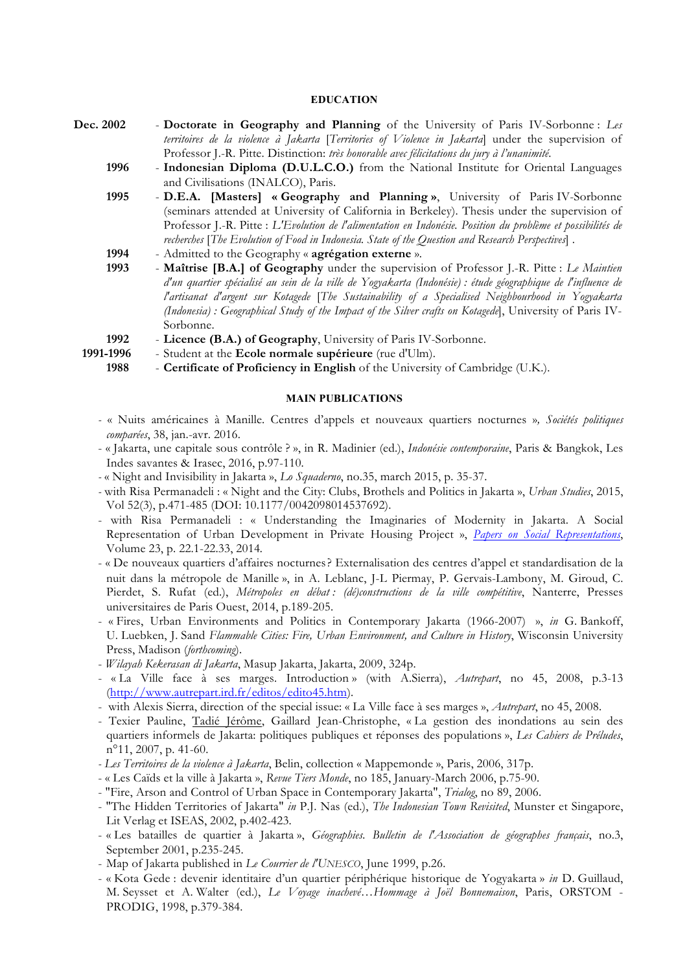#### **EDUCATION**

- **Dec. 2002 Doctorate in Geography and Planning** of the University of Paris IV-Sorbonne : *Les territoires de la violence à Jakarta* [*Territories of Violence in Jakarta*] under the supervision of Professor J.-R. Pitte. Distinction: *très honorable avec félicitations du jury à l'unanimité*.
	- **1996 Indonesian Diploma (D.U.L.C.O.)** from the National Institute for Oriental Languages and Civilisations (INALCO), Paris.
	- **1995 D.E.A. [Masters] « Geography and Planning »**, University of Paris IV-Sorbonne (seminars attended at University of California in Berkeley). Thesis under the supervision of Professor J.-R. Pitte : *L'Evolution de l'alimentation en Indonésie. Position du problème et possibilités de recherches* [*The Evolution of Food in Indonesia. State of the Question and Research Perspectives*] .
	- **1994** Admitted to the Geography « **agrégation externe** ».
	- **1993 Maîtrise [B.A.] of Geography** under the supervision of Professor J.-R. Pitte : *Le Maintien d'un quartier spécialisé au sein de la ville de Yogyakarta (Indonésie) : étude géographique de l'influence de l'artisanat d'argent sur Kotagede* [*The Sustainability of a Specialised Neighbourhood in Yogyakarta (Indonesia) : Geographical Study of the Impact of the Silver crafts on Kotagede*], University of Paris IV-Sorbonne.
	- **1992 Licence (B.A.) of Geography**, University of Paris IV-Sorbonne.
	- **1991-1996** Student at the **Ecole normale supérieure** (rue d'Ulm).
		- **1988 Certificate of Proficiency in English** of the University of Cambridge (U.K.).

#### **MAIN PUBLICATIONS**

- *-* « Nuits américaines à Manille. Centres d'appels et nouveaux quartiers nocturnes »*, Sociétés politiques comparées*, 38, jan.-avr. 2016.
- « Jakarta, une capitale sous contrôle ? », in R. Madinier (ed.), *Indonésie contemporaine*, Paris & Bangkok, Les Indes savantes & Irasec, 2016, p.97-110.
- *-* « Night and Invisibility in Jakarta », *Lo Squaderno*, no.35, march 2015, p. 35-37.
- *-* with Risa Permanadeli : « Night and the City: Clubs, Brothels and Politics in Jakarta », *Urban Studies*, 2015, Vol 52(3), p.471-485 (DOI: 10.1177/0042098014537692).
- with Risa Permanadeli : « Understanding the Imaginaries of Modernity in Jakarta. A Social Representation of Urban Development in Private Housing Project », *Papers on Social Representations*, Volume 23, p. 22.1-22.33, 2014*.*
- « De nouveaux quartiers d'affaires nocturnes? Externalisation des centres d'appel et standardisation de la nuit dans la métropole de Manille », in A. Leblanc, J-L Piermay, P. Gervais-Lambony, M. Giroud, C. Pierdet, S. Rufat (ed.), *Métropoles en débat : (dé)constructions de la ville compétitive*, Nanterre, Presses universitaires de Paris Ouest, 2014, p.189-205.
- « Fires, Urban Environments and Politics in Contemporary Jakarta (1966-2007) », *in* G. Bankoff, U. Luebken, J. Sand *Flammable Cities: Fire, Urban Environment, and Culture in History*, Wisconsin University Press, Madison (*forthcoming*).
- *Wilayah Kekerasan di Jakarta*, Masup Jakarta, Jakarta, 2009, 324p.
- « La Ville face à ses marges. Introduction » (with A.Sierra), *Autrepart*, no 45, 2008, p.3-13 (http://www.autrepart.ird.fr/editos/edito45.htm).
- with Alexis Sierra, direction of the special issue: « La Ville face à ses marges », *Autrepart*, no 45, 2008.
- Texier Pauline, Tadié Jérôme, Gaillard Jean-Christophe, « La gestion des inondations au sein des quartiers informels de Jakarta: politiques publiques et réponses des populations », *Les Cahiers de Préludes*, n°11, 2007, p. 41-60.
- *- Les Territoires de la violence à Jakarta*, Belin, collection « Mappemonde », Paris, 2006, 317p.
- « Les Caïds et la ville à Jakarta », *Revue Tiers Monde*, no 185, January-March 2006, p.75-90.
- "Fire, Arson and Control of Urban Space in Contemporary Jakarta", *Trialog*, no 89, 2006.
- "The Hidden Territories of Jakarta" *in* P.J. Nas (ed.), *The Indonesian Town Revisited*, Munster et Singapore, Lit Verlag et ISEAS, 2002, p.402-423.
- « Les batailles de quartier à Jakarta », *Géographies. Bulletin de l'Association de géographes français*, no.3, September 2001, p.235-245.
- Map of Jakarta published in *Le Courrier de l'UNESCO*, June 1999, p.26.
- « Kota Gede : devenir identitaire d'un quartier périphérique historique de Yogyakarta » *in* D. Guillaud, M. Seysset et A. Walter (ed.), *Le Voyage inachevé…Hommage à Joël Bonnemaison*, Paris, ORSTOM - PRODIG, 1998, p.379-384.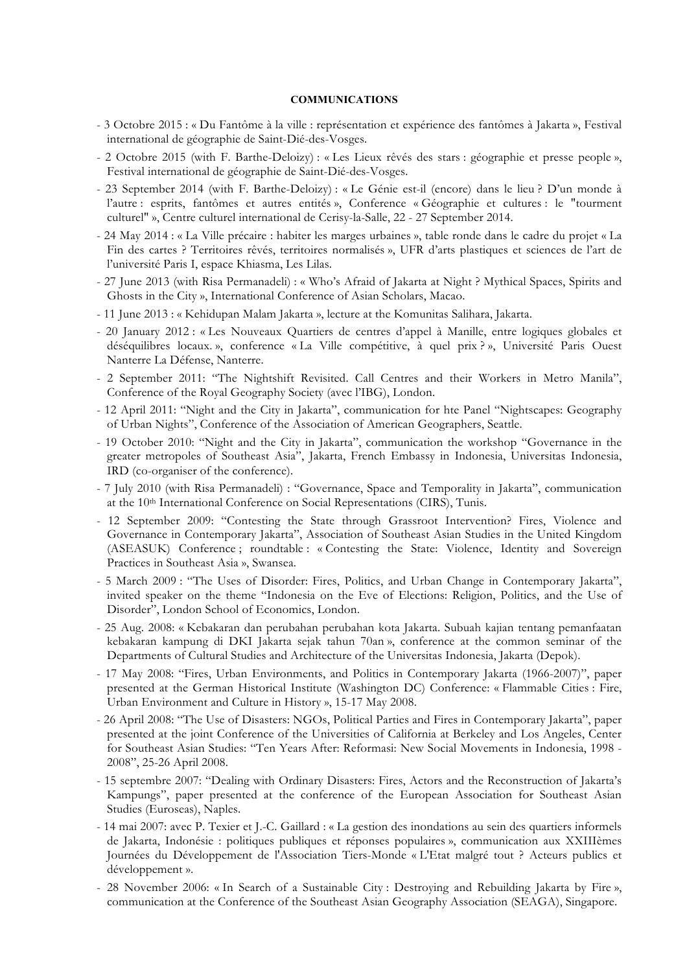#### **COMMUNICATIONS**

- 3 Octobre 2015 : « Du Fantôme à la ville : représentation et expérience des fantômes à Jakarta », Festival international de géographie de Saint-Dié-des-Vosges.
- 2 Octobre 2015 (with F. Barthe-Deloizy) : « Les Lieux rêvés des stars : géographie et presse people », Festival international de géographie de Saint-Dié-des-Vosges.
- 23 September 2014 (with F. Barthe-Deloizy) : « Le Génie est-il (encore) dans le lieu ? D'un monde à l'autre : esprits, fantômes et autres entités », Conference « Géographie et cultures : le "tourment culturel" », Centre culturel international de Cerisy-la-Salle, 22 - 27 September 2014.
- 24 May 2014 : « La Ville précaire : habiter les marges urbaines », table ronde dans le cadre du projet « La Fin des cartes ? Territoires rêvés, territoires normalisés », UFR d'arts plastiques et sciences de l'art de l'université Paris I, espace Khiasma, Les Lilas.
- 27 June 2013 (with Risa Permanadeli) : « Who's Afraid of Jakarta at Night ? Mythical Spaces, Spirits and Ghosts in the City », International Conference of Asian Scholars, Macao.
- 11 June 2013 : « Kehidupan Malam Jakarta », lecture at the Komunitas Salihara, Jakarta.
- 20 January 2012 : « Les Nouveaux Quartiers de centres d'appel à Manille, entre logiques globales et déséquilibres locaux. », conference « La Ville compétitive, à quel prix ? », Université Paris Ouest Nanterre La Défense, Nanterre.
- 2 September 2011: "The Nightshift Revisited. Call Centres and their Workers in Metro Manila", Conference of the Royal Geography Society (avec l'IBG), London.
- 12 April 2011: "Night and the City in Jakarta", communication for hte Panel "Nightscapes: Geography of Urban Nights", Conference of the Association of American Geographers, Seattle.
- 19 October 2010: "Night and the City in Jakarta", communication the workshop "Governance in the greater metropoles of Southeast Asia", Jakarta, French Embassy in Indonesia, Universitas Indonesia, IRD (co-organiser of the conference).
- 7 July 2010 (with Risa Permanadeli) : "Governance, Space and Temporality in Jakarta", communication at the 10th International Conference on Social Representations (CIRS), Tunis.
- 12 September 2009: "Contesting the State through Grassroot Intervention? Fires, Violence and Governance in Contemporary Jakarta", Association of Southeast Asian Studies in the United Kingdom (ASEASUK) Conference ; roundtable : « Contesting the State: Violence, Identity and Sovereign Practices in Southeast Asia », Swansea.
- 5 March 2009 : "The Uses of Disorder: Fires, Politics, and Urban Change in Contemporary Jakarta", invited speaker on the theme "Indonesia on the Eve of Elections: Religion, Politics, and the Use of Disorder", London School of Economics, London.
- 25 Aug. 2008: « Kebakaran dan perubahan perubahan kota Jakarta. Subuah kajian tentang pemanfaatan kebakaran kampung di DKI Jakarta sejak tahun 70an », conference at the common seminar of the Departments of Cultural Studies and Architecture of the Universitas Indonesia, Jakarta (Depok).
- 17 May 2008: "Fires, Urban Environments, and Politics in Contemporary Jakarta (1966-2007)", paper presented at the German Historical Institute (Washington DC) Conference: « Flammable Cities : Fire, Urban Environment and Culture in History », 15-17 May 2008.
- 26 April 2008: "The Use of Disasters: NGOs, Political Parties and Fires in Contemporary Jakarta", paper presented at the joint Conference of the Universities of California at Berkeley and Los Angeles, Center for Southeast Asian Studies: "Ten Years After: Reformasi: New Social Movements in Indonesia, 1998 - 2008", 25-26 April 2008.
- 15 septembre 2007: "Dealing with Ordinary Disasters: Fires, Actors and the Reconstruction of Jakarta's Kampungs", paper presented at the conference of the European Association for Southeast Asian Studies (Euroseas), Naples.
- 14 mai 2007: avec P. Texier et J.-C. Gaillard : « La gestion des inondations au sein des quartiers informels de Jakarta, Indonésie : politiques publiques et réponses populaires », communication aux XXIIIèmes Journées du Développement de l'Association Tiers-Monde « L'Etat malgré tout ? Acteurs publics et développement ».
- 28 November 2006: « In Search of a Sustainable City : Destroying and Rebuilding Jakarta by Fire », communication at the Conference of the Southeast Asian Geography Association (SEAGA), Singapore.